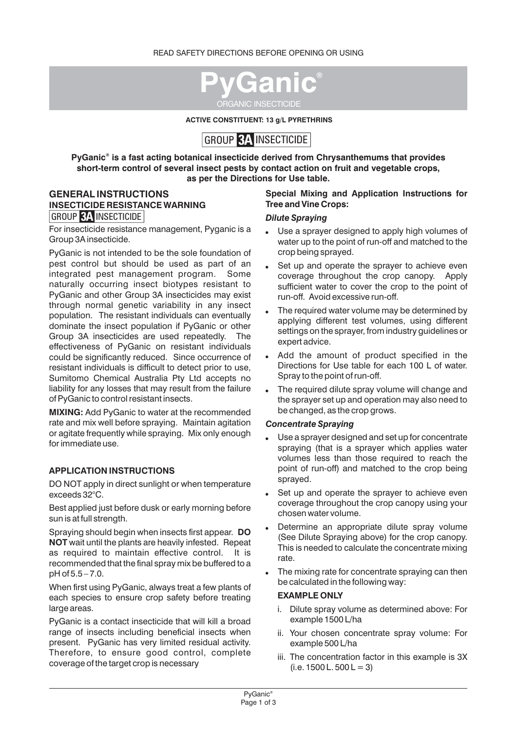

**ACTIVE CONSTITUENT: 13 g/L PYRETHRINS**

# GROUP 3A INSECTICIDE

**® PyGanic is a fast acting botanical insecticide derived from Chrysanthemums that provides short-term control of several insect pests by contact action on fruit and vegetable crops, as per the Directions for Use table.**

#### GROUP 3A INSECTICIDE **GENERAL INSTRUCTIONS INSECTICIDE RESISTANCE WARNING**

For insecticide resistance management, Pyganic is a Group 3A insecticide.

PyGanic is not intended to be the sole foundation of pest control but should be used as part of an integrated pest management program. Some naturally occurring insect biotypes resistant to PyGanic and other Group 3A insecticides may exist through normal genetic variability in any insect population. The resistant individuals can eventually dominate the insect population if PyGanic or other Group 3A insecticides are used repeatedly. The effectiveness of PyGanic on resistant individuals could be significantly reduced. Since occurrence of resistant individuals is difficult to detect prior to use, Sumitomo Chemical Australia Pty Ltd accepts no liability for any losses that may result from the failure of PyGanic to control resistant insects.

**MIXING:** Add PyGanic to water at the recommended rate and mix well before spraying. Maintain agitation or agitate frequently while spraying. Mix only enough for immediate use.

# **APPLICATION INSTRUCTIONS**

DO NOT apply in direct sunlight or when temperature exceeds 32°C.

Best applied just before dusk or early morning before sun is at full strength.

Spraying should begin when insects first appear. **DO NOT** wait until the plants are heavily infested. Repeat as required to maintain effective control. It is recommended that the final spray mix be buffered to a pH of 5.5 – 7.0.

When first using PyGanic, always treat a few plants of each species to ensure crop safety before treating large areas.

PyGanic is a contact insecticide that will kill a broad range of insects including beneficial insects when present. PyGanic has very limited residual activity. Therefore, to ensure good control, complete coverage of the target crop is necessary

# **Special Mixing and Application Instructions for Tree and Vine Crops:**

#### *Dilute Spraying*

- Use a sprayer designed to apply high volumes of water up to the point of run-off and matched to the crop being sprayed.
- Set up and operate the sprayer to achieve even coverage throughout the crop canopy. Apply sufficient water to cover the crop to the point of run-off. Avoid excessive run-off.
- The required water volume may be determined by applying different test volumes, using different settings on the sprayer, from industry guidelines or expert advice.
- . Add the amount of product specified in the Directions for Use table for each 100 L of water. Spray to the point of run-off.
- The required dilute spray volume will change and the sprayer set up and operation may also need to be changed, as the crop grows.

#### *Concentrate Spraying*

- Use a sprayer designed and set up for concentrate spraying (that is a sprayer which applies water volumes less than those required to reach the point of run-off) and matched to the crop being sprayed.
- . Set up and operate the sprayer to achieve even coverage throughout the crop canopy using your chosen water volume.
- Determine an appropriate dilute spray volume (See Dilute Spraying above) for the crop canopy. This is needed to calculate the concentrate mixing rate.
- The mixing rate for concentrate spraying can then be calculated in the following way:

# **EXAMPLE ONLY**

- i. Dilute spray volume as determined above: For example 1500 L/ha
- ii. Your chosen concentrate spray volume: For example 500 L/ha
- iii. The concentration factor in this example is 3X  $(i.e. 1500 L. 500 L = 3)$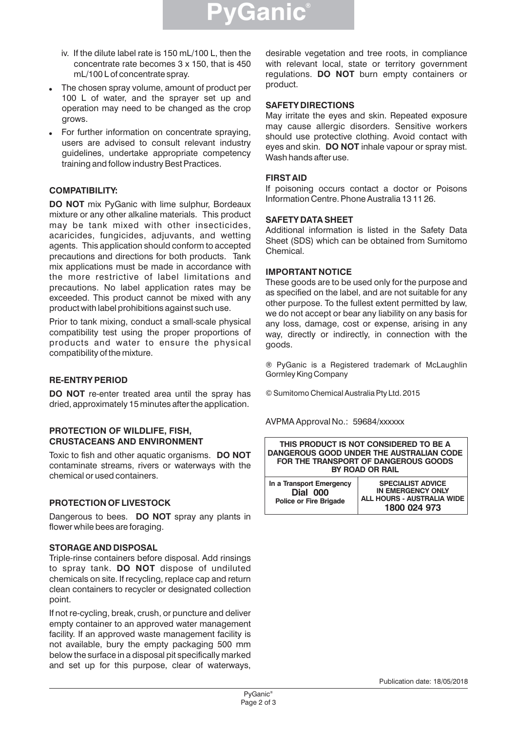

- iv. If the dilute label rate is 150 mL/100 L, then the concentrate rate becomes 3 x 150, that is 450 mL/100 L of concentrate spray.
- ! The chosen spray volume, amount of product per 100 L of water, and the sprayer set up and operation may need to be changed as the crop grows.
- For further information on concentrate spraying, users are advised to consult relevant industry guidelines, undertake appropriate competency training and follow industry Best Practices.

## **COMPATIBILITY:**

**DO NOT** mix PyGanic with lime sulphur, Bordeaux mixture or any other alkaline materials. This product may be tank mixed with other insecticides, acaricides, fungicides, adjuvants, and wetting agents. This application should conform to accepted precautions and directions for both products. Tank mix applications must be made in accordance with the more restrictive of label limitations and precautions. No label application rates may be exceeded. This product cannot be mixed with any product with label prohibitions against such use.

Prior to tank mixing, conduct a small-scale physical compatibility test using the proper proportions of products and water to ensure the physical compatibility of the mixture.

#### **RE-ENTRY PERIOD**

**DO NOT** re-enter treated area until the spray has dried, approximately 15 minutes after the application.

#### **PROTECTION OF WILDLIFE, FISH, CRUSTACEANS AND ENVIRONMENT**

Toxic to fish and other aquatic organisms. **DO NOT** contaminate streams, rivers or waterways with the chemical or used containers.

#### **PROTECTION OF LIVESTOCK**

Dangerous to bees. **DO NOT** spray any plants in flower while bees are foraging.

## **STORAGEAND DISPOSAL**

Triple-rinse containers before disposal. Add rinsings to spray tank. **DO NOT** dispose of undiluted chemicals on site. If recycling, replace cap and return clean containers to recycler or designated collection point.

If not re-cycling, break, crush, or puncture and deliver empty container to an approved water management facility. If an approved waste management facility is not available, bury the empty packaging 500 mm below the surface in a disposal pit specifically marked and set up for this purpose, clear of waterways,

desirable vegetation and tree roots, in compliance with relevant local, state or territory government regulations. **DO NOT** burn empty containers or product.

#### **SAFETY DIRECTIONS**

May irritate the eyes and skin. Repeated exposure may cause allergic disorders. Sensitive workers should use protective clothing. Avoid contact with eyes and skin. **DO NOT** inhale vapour or spray mist. Wash hands after use.

#### **FIRSTAID**

If poisoning occurs contact a doctor or Poisons Information Centre. Phone Australia 13 11 26.

#### **SAFETY DATASHEET**

Additional information is listed in the Safety Data Sheet (SDS) which can be obtained from Sumitomo Chemical.

#### **IMPORTANT NOTICE**

These goods are to be used only for the purpose and as specified on the label, and are not suitable for any other purpose. To the fullest extent permitted by law, we do not accept or bear any liability on any basis for any loss, damage, cost or expense, arising in any way, directly or indirectly, in connection with the goods.

® PyGanic is a Registered trademark of McLaughlin Gormley King Company

© Sumitomo Chemical Australia Pty Ltd. 2015

AVPMA Approval No.: 59684/xxxxxx

| THIS PRODUCT IS NOT CONSIDERED TO BE A<br>DANGEROUS GOOD UNDER THE AUSTRALIAN CODE<br>FOR THE TRANSPORT OF DANGEROUS GOODS<br>BY ROAD OR RAIL |                                                                                                    |  |  |  |
|-----------------------------------------------------------------------------------------------------------------------------------------------|----------------------------------------------------------------------------------------------------|--|--|--|
| In a Transport Emergency<br><b>Dial 000</b><br><b>Police or Fire Brigade</b>                                                                  | <b>SPECIALIST ADVICE</b><br><b>IN EMERGENCY ONLY</b><br>ALL HOURS - AUSTRALIA WIDE<br>1800 024 973 |  |  |  |